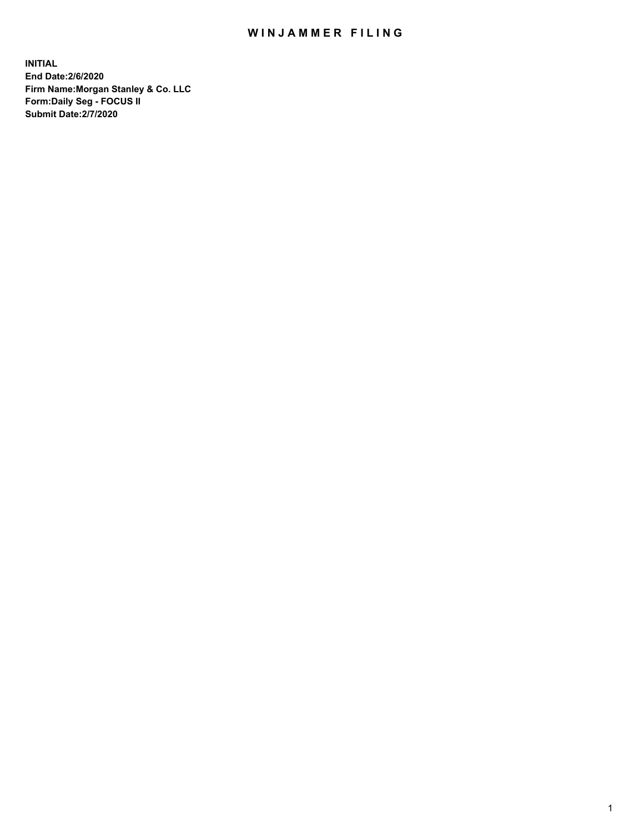## WIN JAMMER FILING

**INITIAL End Date:2/6/2020 Firm Name:Morgan Stanley & Co. LLC Form:Daily Seg - FOCUS II Submit Date:2/7/2020**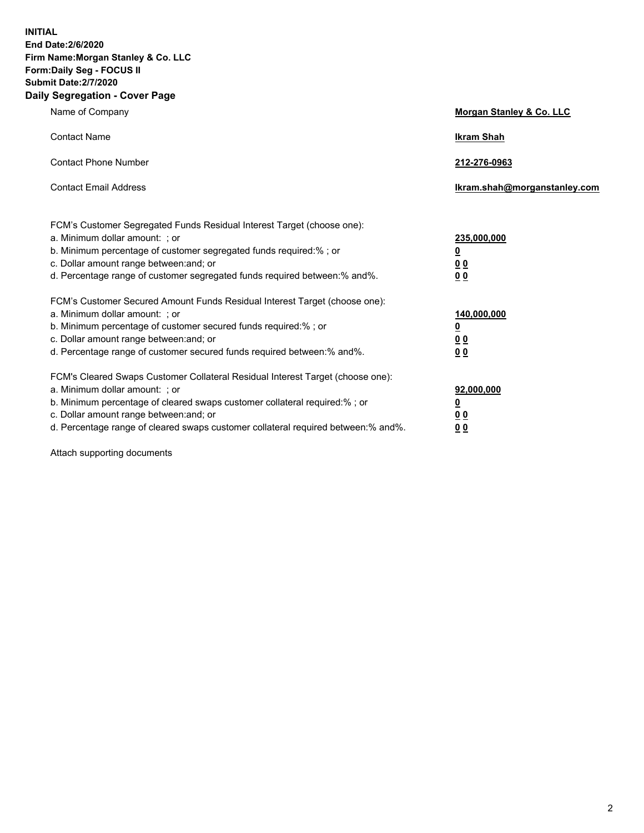**INITIAL End Date:2/6/2020 Firm Name:Morgan Stanley & Co. LLC Form:Daily Seg - FOCUS II Submit Date:2/7/2020 Daily Segregation - Cover Page**

| Name of Company                                                                                                                                                                                                                                                                                                                | <b>Morgan Stanley &amp; Co. LLC</b>                     |
|--------------------------------------------------------------------------------------------------------------------------------------------------------------------------------------------------------------------------------------------------------------------------------------------------------------------------------|---------------------------------------------------------|
| <b>Contact Name</b>                                                                                                                                                                                                                                                                                                            | <b>Ikram Shah</b>                                       |
| <b>Contact Phone Number</b>                                                                                                                                                                                                                                                                                                    | 212-276-0963                                            |
| <b>Contact Email Address</b>                                                                                                                                                                                                                                                                                                   | Ikram.shah@morganstanley.com                            |
| FCM's Customer Segregated Funds Residual Interest Target (choose one):<br>a. Minimum dollar amount: ; or<br>b. Minimum percentage of customer segregated funds required:% ; or<br>c. Dollar amount range between: and; or                                                                                                      | 235,000,000<br><u>0</u><br><u>00</u>                    |
| d. Percentage range of customer segregated funds required between: % and %.                                                                                                                                                                                                                                                    | 0 Q                                                     |
| FCM's Customer Secured Amount Funds Residual Interest Target (choose one):<br>a. Minimum dollar amount: ; or<br>b. Minimum percentage of customer secured funds required:%; or<br>c. Dollar amount range between: and; or<br>d. Percentage range of customer secured funds required between:% and%.                            | 140,000,000<br><u>0</u><br><u>0 0</u><br>0 <sub>0</sub> |
| FCM's Cleared Swaps Customer Collateral Residual Interest Target (choose one):<br>a. Minimum dollar amount: ; or<br>b. Minimum percentage of cleared swaps customer collateral required:% ; or<br>c. Dollar amount range between: and; or<br>d. Percentage range of cleared swaps customer collateral required between:% and%. | 92,000,000<br><u>0</u><br>00<br>00                      |

Attach supporting documents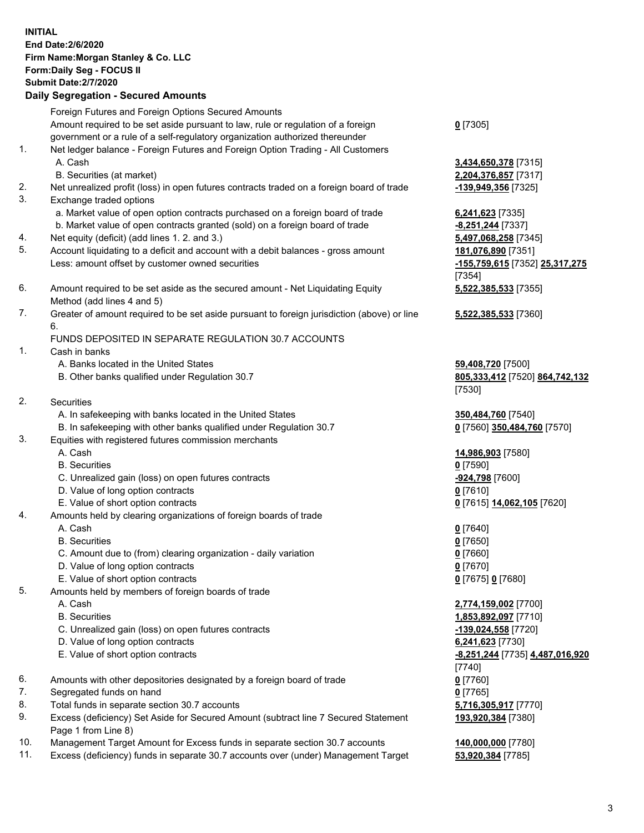|          | <b>INITIAL</b>                                                                                                               |                                           |
|----------|------------------------------------------------------------------------------------------------------------------------------|-------------------------------------------|
|          | <b>End Date: 2/6/2020</b><br>Firm Name: Morgan Stanley & Co. LLC                                                             |                                           |
|          | Form: Daily Seg - FOCUS II                                                                                                   |                                           |
|          | <b>Submit Date:2/7/2020</b>                                                                                                  |                                           |
|          | <b>Daily Segregation - Secured Amounts</b>                                                                                   |                                           |
|          |                                                                                                                              |                                           |
|          | Foreign Futures and Foreign Options Secured Amounts                                                                          |                                           |
|          | Amount required to be set aside pursuant to law, rule or regulation of a foreign                                             | $0$ [7305]                                |
|          | government or a rule of a self-regulatory organization authorized thereunder                                                 |                                           |
| 1.       | Net ledger balance - Foreign Futures and Foreign Option Trading - All Customers                                              |                                           |
|          | A. Cash                                                                                                                      | 3,434,650,378 [7315]                      |
|          | B. Securities (at market)                                                                                                    | 2,204,376,857 [7317]                      |
| 2.<br>3. | Net unrealized profit (loss) in open futures contracts traded on a foreign board of trade                                    | -139,949,356 [7325]                       |
|          | Exchange traded options                                                                                                      |                                           |
|          | a. Market value of open option contracts purchased on a foreign board of trade                                               | 6,241,623 [7335]                          |
| 4.       | b. Market value of open contracts granted (sold) on a foreign board of trade<br>Net equity (deficit) (add lines 1.2. and 3.) | -8,251,244 [7337]<br>5,497,068,258 [7345] |
| 5.       | Account liquidating to a deficit and account with a debit balances - gross amount                                            | 181,076,890 [7351]                        |
|          | Less: amount offset by customer owned securities                                                                             | -155,759,615 [7352] 25,317,275            |
|          |                                                                                                                              | [7354]                                    |
| 6.       | Amount required to be set aside as the secured amount - Net Liquidating Equity                                               | 5,522,385,533 [7355]                      |
|          | Method (add lines 4 and 5)                                                                                                   |                                           |
| 7.       | Greater of amount required to be set aside pursuant to foreign jurisdiction (above) or line                                  | 5,522,385,533 [7360]                      |
|          | 6.                                                                                                                           |                                           |
|          | FUNDS DEPOSITED IN SEPARATE REGULATION 30.7 ACCOUNTS                                                                         |                                           |
| 1.       | Cash in banks                                                                                                                |                                           |
|          | A. Banks located in the United States                                                                                        | 59,408,720 [7500]                         |
|          | B. Other banks qualified under Regulation 30.7                                                                               | 805,333,412 [7520] 864,742,132            |
|          |                                                                                                                              | [7530]                                    |
| 2.       | Securities                                                                                                                   |                                           |
|          | A. In safekeeping with banks located in the United States                                                                    | 350,484,760 [7540]                        |
|          | B. In safekeeping with other banks qualified under Regulation 30.7                                                           | 0 [7560] 350,484,760 [7570]               |
| 3.       | Equities with registered futures commission merchants                                                                        |                                           |
|          | A. Cash                                                                                                                      | 14,986,903 [7580]                         |
|          | <b>B.</b> Securities                                                                                                         | $0$ [7590]                                |
|          | C. Unrealized gain (loss) on open futures contracts                                                                          | -924,798 [7600]                           |
|          | D. Value of long option contracts                                                                                            | $0$ [7610]                                |
|          | E. Value of short option contracts                                                                                           | 0 [7615] 14,062,105 [7620]                |
| 4.       | Amounts held by clearing organizations of foreign boards of trade                                                            |                                           |
|          | A. Cash                                                                                                                      | $0$ [7640]                                |
|          | <b>B.</b> Securities                                                                                                         | $0$ [7650]                                |
|          | C. Amount due to (from) clearing organization - daily variation                                                              | $0$ [7660]                                |
|          | D. Value of long option contracts                                                                                            | $0$ [7670]                                |
|          | E. Value of short option contracts                                                                                           | 0 [7675] 0 [7680]                         |
| 5.       | Amounts held by members of foreign boards of trade                                                                           |                                           |
|          | A. Cash<br><b>B.</b> Securities                                                                                              | 2,774,159,002 [7700]                      |
|          | C. Unrealized gain (loss) on open futures contracts                                                                          | 1,853,892,097 [7710]                      |
|          | D. Value of long option contracts                                                                                            | -139,024,558 [7720]<br>6,241,623 [7730]   |
|          | E. Value of short option contracts                                                                                           | <u>-8,251,244</u> [7735] 4,487,016,920    |
|          |                                                                                                                              | [7740]                                    |
| 6.       | Amounts with other depositories designated by a foreign board of trade                                                       | $0$ [7760]                                |
| 7.       | Segregated funds on hand                                                                                                     | $0$ [7765]                                |
| 8.       | Total funds in separate section 30.7 accounts                                                                                | 5,716,305,917 [7770]                      |
| 9.       | Excess (deficiency) Set Aside for Secured Amount (subtract line 7 Secured Statement                                          | 193,920,384 [7380]                        |
|          | Page 1 from Line 8)                                                                                                          |                                           |
| 10.      | Management Target Amount for Excess funds in separate section 30.7 accounts                                                  | 140,000,000 [7780]                        |
| 11.      | Excess (deficiency) funds in separate 30.7 accounts over (under) Management Target                                           | 53,920,384 [7785]                         |
|          |                                                                                                                              |                                           |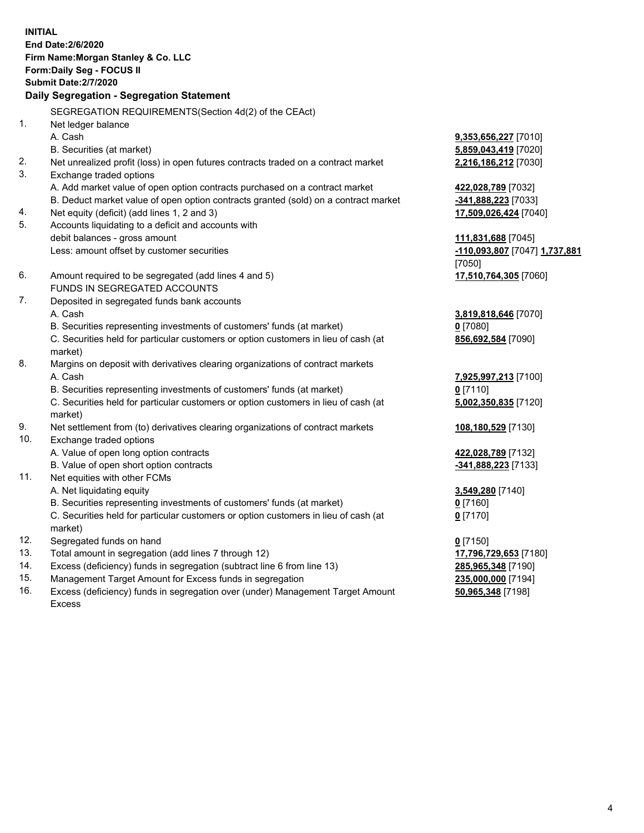**INITIAL End Date:2/6/2020 Firm Name:Morgan Stanley & Co. LLC Form:Daily Seg - FOCUS II Submit Date:2/7/2020 Daily Segregation - Segregation Statement** SEGREGATION REQUIREMENTS(Section 4d(2) of the CEAct) 1. Net ledger balance A. Cash **9,353,656,227** [7010] B. Securities (at market) **5,859,043,419** [7020] 2. Net unrealized profit (loss) in open futures contracts traded on a contract market **2,216,186,212** [7030] 3. Exchange traded options A. Add market value of open option contracts purchased on a contract market **422,028,789** [7032] B. Deduct market value of open option contracts granted (sold) on a contract market **-341,888,223** [7033] 4. Net equity (deficit) (add lines 1, 2 and 3) **17,509,026,424** [7040] 5. Accounts liquidating to a deficit and accounts with debit balances - gross amount **111,831,688** [7045] Less: amount offset by customer securities **-110,093,807** [7047] **1,737,881** [7050] 6. Amount required to be segregated (add lines 4 and 5) **17,510,764,305** [7060] FUNDS IN SEGREGATED ACCOUNTS 7. Deposited in segregated funds bank accounts A. Cash **3,819,818,646** [7070] B. Securities representing investments of customers' funds (at market) **0** [7080] C. Securities held for particular customers or option customers in lieu of cash (at market) **856,692,584** [7090] 8. Margins on deposit with derivatives clearing organizations of contract markets A. Cash **7,925,997,213** [7100] B. Securities representing investments of customers' funds (at market) **0** [7110] C. Securities held for particular customers or option customers in lieu of cash (at market) **5,002,350,835** [7120] 9. Net settlement from (to) derivatives clearing organizations of contract markets **108,180,529** [7130] 10. Exchange traded options A. Value of open long option contracts **422,028,789** [7132] B. Value of open short option contracts **-341,888,223** [7133] 11. Net equities with other FCMs A. Net liquidating equity **3,549,280** [7140] B. Securities representing investments of customers' funds (at market) **0** [7160] C. Securities held for particular customers or option customers in lieu of cash (at market) **0** [7170] 12. Segregated funds on hand **0** [7150] 13. Total amount in segregation (add lines 7 through 12) **17,796,729,653** [7180] 14. Excess (deficiency) funds in segregation (subtract line 6 from line 13) **285,965,348** [7190]

- 15. Management Target Amount for Excess funds in segregation **235,000,000** [7194]
- 16. Excess (deficiency) funds in segregation over (under) Management Target Amount Excess

**50,965,348** [7198]